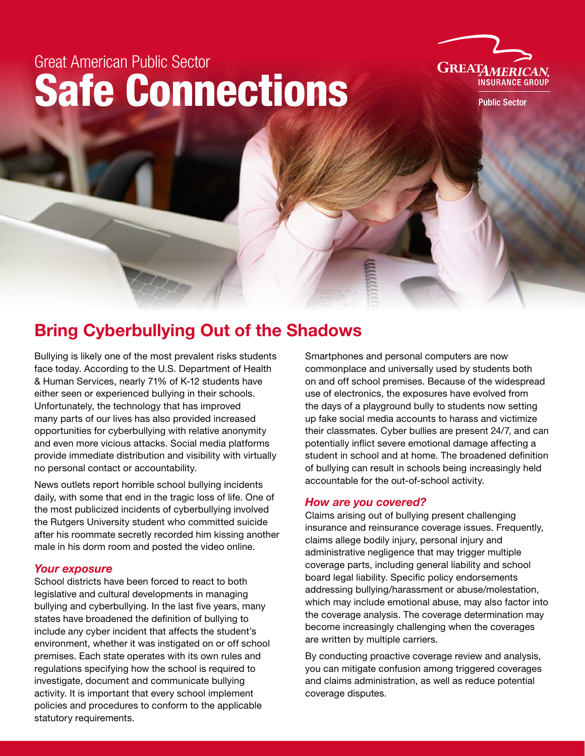# Great American Public Sector Safe Connections



**Public Sector** 

# Bring Cyberbullying Out of the Shadows

Bullying is likely one of the most prevalent risks students face today. According to the U.S. Department of Health & Human Services, nearly 71% of K-12 students have either seen or experienced bullying in their schools. Unfortunately, the technology that has improved many parts of our lives has also provided increased opportunities for cyberbullying with relative anonymity and even more vicious attacks. Social media platforms provide immediate distribution and visibility with virtually no personal contact or accountability.

News outlets report horrible school bullying incidents daily, with some that end in the tragic loss of life. One of the most publicized incidents of cyberbullying involved the Rutgers University student who committed suicide after his roommate secretly recorded him kissing another male in his dorm room and posted the video online.

#### *Your exposure*

School districts have been forced to react to both legislative and cultural developments in managing bullying and cyberbullying. In the last five years, many states have broadened the definition of bullying to include any cyber incident that affects the student's environment, whether it was instigated on or off school premises. Each state operates with its own rules and regulations specifying how the school is required to investigate, document and communicate bullying activity. It is important that every school implement policies and procedures to conform to the applicable statutory requirements.

Smartphones and personal computers are now commonplace and universally used by students both on and off school premises. Because of the widespread use of electronics, the exposures have evolved from the days of a playground bully to students now setting up fake social media accounts to harass and victimize their classmates. Cyber bullies are present 24/7, and can potentially inflict severe emotional damage affecting a student in school and at home. The broadened definition of bullying can result in schools being increasingly held accountable for the out-of-school activity.

#### *How are you covered?*

Claims arising out of bullying present challenging insurance and reinsurance coverage issues. Frequently, claims allege bodily injury, personal injury and administrative negligence that may trigger multiple coverage parts, including general liability and school board legal liability. Specific policy endorsements addressing bullying/harassment or abuse/molestation, which may include emotional abuse, may also factor into the coverage analysis. The coverage determination may become increasingly challenging when the coverages are written by multiple carriers.

By conducting proactive coverage review and analysis, you can mitigate confusion among triggered coverages and claims administration, as well as reduce potential coverage disputes.